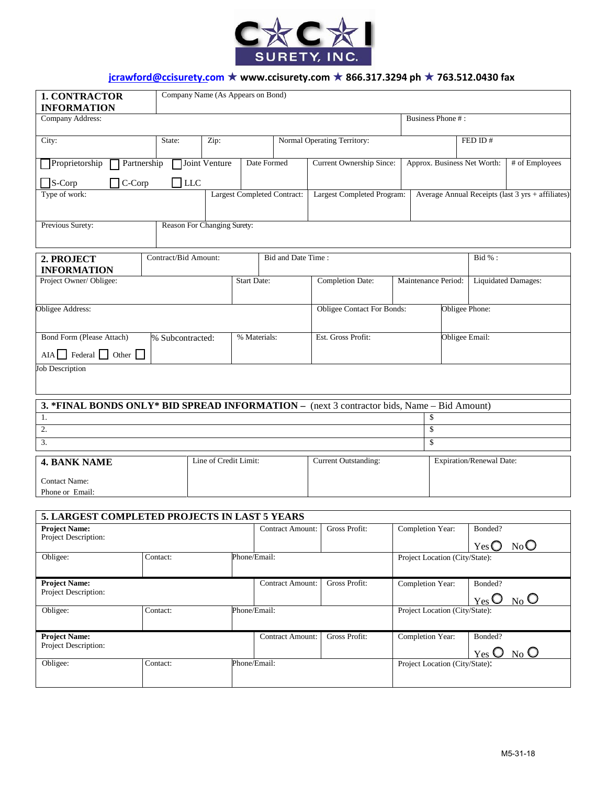

## **jcrawford@ccisurety.com** ★ **www.ccisurety.com** ★ **866.317.3294 ph** ★ **763.512.0430 fax**

| <b>1. CONTRACTOR</b><br><b>INFORMATION</b>                                                 | Company Name (As Appears on Bond) |               |                                    |                                   |                                 |                                |                                                   |                |                              |         |  |  |  |
|--------------------------------------------------------------------------------------------|-----------------------------------|---------------|------------------------------------|-----------------------------------|---------------------------------|--------------------------------|---------------------------------------------------|----------------|------------------------------|---------|--|--|--|
| Company Address:                                                                           |                                   |               |                                    |                                   |                                 |                                | Business Phone #:                                 |                |                              |         |  |  |  |
| City:                                                                                      | State:                            | Zip:          |                                    |                                   | Normal Operating Territory:     |                                |                                                   | FED ID#        |                              |         |  |  |  |
| Proprietorship<br>Partnership                                                              |                                   | Joint Venture | Date Formed                        |                                   | <b>Current Ownership Since:</b> |                                | Approx. Business Net Worth:                       |                | # of Employees               |         |  |  |  |
| $\Box$ S-Corp<br>$\exists$ C-Corp                                                          | $\Box$ LLC                        |               |                                    |                                   |                                 |                                |                                                   |                |                              |         |  |  |  |
| Type of work:                                                                              |                                   |               | <b>Largest Completed Contract:</b> |                                   | Largest Completed Program:      |                                | Average Annual Receipts (last 3 yrs + affiliates) |                |                              |         |  |  |  |
| Previous Surety:                                                                           | Reason For Changing Surety:       |               |                                    |                                   |                                 |                                |                                                   |                |                              |         |  |  |  |
| 2. PROJECT<br><b>INFORMATION</b>                                                           | Contract/Bid Amount:              |               |                                    | Bid and Date Time:                |                                 |                                | Bid % :                                           |                |                              |         |  |  |  |
| Project Owner/ Obligee:                                                                    |                                   |               | <b>Start Date:</b>                 |                                   | <b>Completion Date:</b>         |                                | Maintenance Period:<br><b>Liquidated Damages:</b> |                |                              |         |  |  |  |
| Obligee Address:                                                                           |                                   |               |                                    | <b>Obligee Contact For Bonds:</b> |                                 |                                | Obligee Phone:                                    |                |                              |         |  |  |  |
| Bond Form (Please Attach)<br>% Subcontracted:                                              |                                   |               | % Materials:                       |                                   | Est. Gross Profit:              |                                |                                                   | Obligee Email: |                              |         |  |  |  |
| <b>Job Description</b>                                                                     |                                   |               |                                    |                                   |                                 |                                |                                                   |                |                              |         |  |  |  |
| 3. *FINAL BONDS ONLY* BID SPREAD INFORMATION - (next 3 contractor bids, Name - Bid Amount) |                                   |               |                                    |                                   |                                 |                                |                                                   |                |                              |         |  |  |  |
| 1.                                                                                         |                                   |               |                                    |                                   |                                 |                                | \$                                                |                |                              |         |  |  |  |
| \$<br>2.<br>3.<br>\$                                                                       |                                   |               |                                    |                                   |                                 |                                |                                                   |                |                              |         |  |  |  |
|                                                                                            |                                   |               |                                    |                                   | <b>Current Outstanding:</b>     |                                |                                                   |                |                              |         |  |  |  |
| Line of Credit Limit:<br><b>4. BANK NAME</b><br><b>Contact Name:</b>                       |                                   |               |                                    |                                   |                                 |                                | Expiration/Renewal Date:                          |                |                              |         |  |  |  |
| Phone or Email:                                                                            |                                   |               |                                    |                                   |                                 |                                |                                                   |                |                              |         |  |  |  |
|                                                                                            |                                   |               |                                    |                                   |                                 |                                |                                                   |                |                              |         |  |  |  |
| 5. LARGEST COMPLETED PROJECTS IN LAST 5 YEARS<br><b>Project Name:</b>                      |                                   |               |                                    | Contract Amount:                  | Gross Profit:                   |                                | Completion Year:                                  |                | Bonded?                      |         |  |  |  |
| Project Description:                                                                       |                                   |               |                                    |                                   |                                 |                                |                                                   |                | $Yes$ $\bigcirc$             | NoO     |  |  |  |
| Obligee:                                                                                   | Contact:                          |               | Phone/Email:                       |                                   |                                 | Project Location (City/State): |                                                   |                |                              |         |  |  |  |
| <b>Project Name:</b><br>Project Description:                                               |                                   |               |                                    | <b>Contract Amount:</b>           | Gross Profit:                   |                                | Completion Year:                                  |                | Bonded?<br>$_{\text{Yes}}$ O | $N_0$ O |  |  |  |
| Obligee:                                                                                   | Contact:                          |               | Phone/Email:                       |                                   |                                 |                                | Project Location (City/State):                    |                |                              |         |  |  |  |
| <b>Project Name:</b><br>Project Description:                                               |                                   |               |                                    | <b>Contract Amount:</b>           | Gross Profit:                   |                                | Completion Year:                                  |                | Bonded?<br>$Y$ es $\bigcirc$ | $N_0$ O |  |  |  |
| Obligee:                                                                                   | Contact:                          |               | Phone/Email:                       |                                   |                                 |                                | Project Location (City/State):                    |                |                              |         |  |  |  |